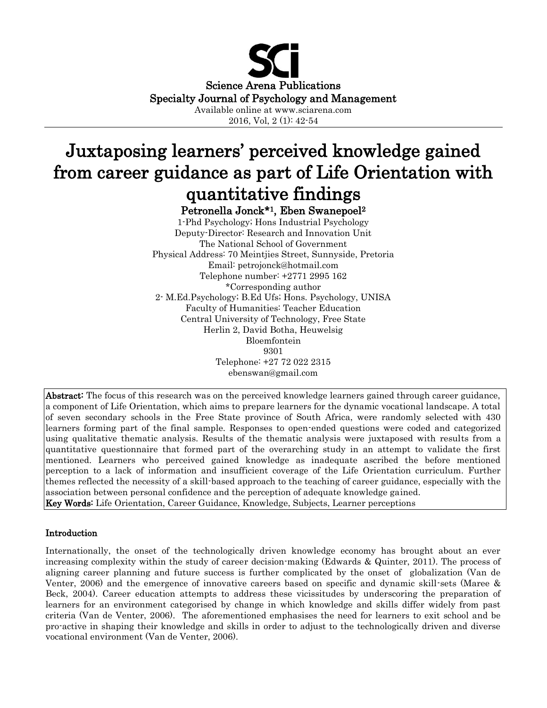

2016, Vol, 2 (1): 42-54

# Juxtaposing learners' perceived knowledge gained from career guidance as part of Life Orientation with quantitative findings

Petronella Jonck\*1, Eben Swanepoel<sup>2</sup>

1-Phd Psychology; Hons Industrial Psychology Deputy-Director: Research and Innovation Unit The National School of Government Physical Address: 70 Meintjies Street, Sunnyside, Pretoria Email: petrojonck@hotmail.com Telephone number: +2771 2995 162 \*Corresponding author 2- M.Ed.Psychology; B.Ed Ufs; Hons. Psychology, UNISA Faculty of Humanities: Teacher Education Central University of Technology, Free State Herlin 2, David Botha, Heuwelsig Bloemfontein 9301 Telephone: +27 72 022 2315 ebenswan@gmail.com

Abstract: The focus of this research was on the perceived knowledge learners gained through career guidance, a component of Life Orientation, which aims to prepare learners for the dynamic vocational landscape. A total of seven secondary schools in the Free State province of South Africa, were randomly selected with 430 learners forming part of the final sample. Responses to open-ended questions were coded and categorized using qualitative thematic analysis. Results of the thematic analysis were juxtaposed with results from a quantitative questionnaire that formed part of the overarching study in an attempt to validate the first mentioned. Learners who perceived gained knowledge as inadequate ascribed the before mentioned perception to a lack of information and insufficient coverage of the Life Orientation curriculum. Further themes reflected the necessity of a skill-based approach to the teaching of career guidance, especially with the association between personal confidence and the perception of adequate knowledge gained. Key Words: Life Orientation, Career Guidance, Knowledge, Subjects, Learner perceptions

## Introduction

Internationally, the onset of the technologically driven knowledge economy has brought about an ever increasing complexity within the study of career decision-making (Edwards & Quinter, 2011). The process of aligning career planning and future success is further complicated by the onset of globalization (Van de Venter, 2006) and the emergence of innovative careers based on specific and dynamic skill-sets (Maree & Beck, 2004). Career education attempts to address these vicissitudes by underscoring the preparation of learners for an environment categorised by change in which knowledge and skills differ widely from past criteria (Van de Venter, 2006). The aforementioned emphasises the need for learners to exit school and be pro-active in shaping their knowledge and skills in order to adjust to the technologically driven and diverse vocational environment (Van de Venter, 2006).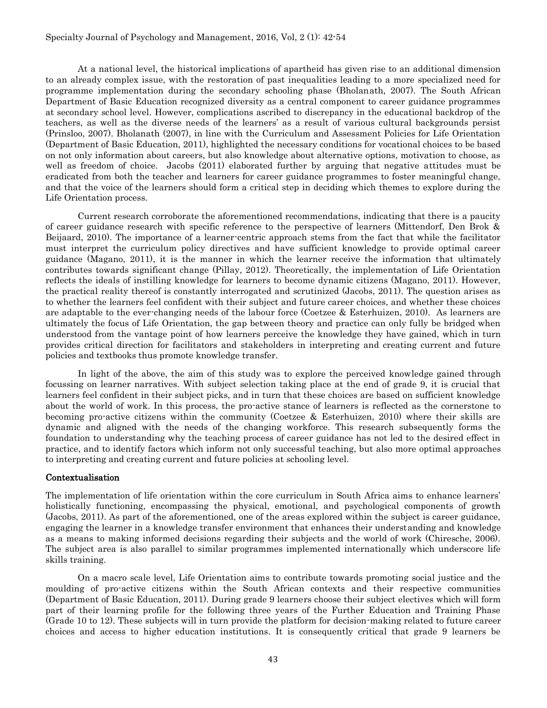#### Specialty Journal of Psychology and Management, 2016, Vol, 2 (1): 42-54

At a national level, the historical implications of apartheid has given rise to an additional dimension to an already complex issue, with the restoration of past inequalities leading to a more specialized need for programme implementation during the secondary schooling phase (Bholanath, 2007). The South African Department of Basic Education recognized diversity as a central component to career guidance programmes at secondary school level. However, complications ascribed to discrepancy in the educational backdrop of the teachers, as well as the diverse needs of the learners' as a result of various cultural backgrounds persist (Prinsloo, 2007). Bholanath (2007), in line with the Curriculum and Assessment Policies for Life Orientation (Department of Basic Education, 2011), highlighted the necessary conditions for vocational choices to be based on not only information about careers, but also knowledge about alternative options, motivation to choose, as well as freedom of choice. Jacobs (2011) elaborated further by arguing that negative attitudes must be eradicated from both the teacher and learners for career guidance programmes to foster meaningful change, and that the voice of the learners should form a critical step in deciding which themes to explore during the Life Orientation process.

Current research corroborate the aforementioned recommendations, indicating that there is a paucity of career guidance research with specific reference to the perspective of learners (Mittendorf, Den Brok & Beijaard, 2010). The importance of a learner-centric approach stems from the fact that while the facilitator must interpret the curriculum policy directives and have sufficient knowledge to provide optimal career guidance (Magano, 2011), it is the manner in which the learner receive the information that ultimately contributes towards significant change (Pillay, 2012). Theoretically, the implementation of Life Orientation reflects the ideals of instilling knowledge for learners to become dynamic citizens (Magano, 2011). However, the practical reality thereof is constantly interrogated and scrutinized (Jacobs, 2011). The question arises as to whether the learners feel confident with their subject and future career choices, and whether these choices are adaptable to the ever-changing needs of the labour force (Coetzee & Esterhuizen, 2010). As learners are ultimately the focus of Life Orientation, the gap between theory and practice can only fully be bridged when understood from the vantage point of how learners perceive the knowledge they have gained, which in turn provides critical direction for facilitators and stakeholders in interpreting and creating current and future policies and textbooks thus promote knowledge transfer.

In light of the above, the aim of this study was to explore the perceived knowledge gained through focussing on learner narratives. With subject selection taking place at the end of grade 9, it is crucial that learners feel confident in their subject picks, and in turn that these choices are based on sufficient knowledge about the world of work. In this process, the pro-active stance of learners is reflected as the cornerstone to becoming pro-active citizens within the community (Coetzee & Esterhuizen, 2010) where their skills are dynamic and aligned with the needs of the changing workforce. This research subsequently forms the foundation to understanding why the teaching process of career guidance has not led to the desired effect in practice, and to identify factors which inform not only successful teaching, but also more optimal approaches to interpreting and creating current and future policies at schooling level.

#### Contextualisation

The implementation of life orientation within the core curriculum in South Africa aims to enhance learners' holistically functioning, encompassing the physical, emotional, and psychological components of growth (Jacobs, 2011). As part of the aforementioned, one of the areas explored within the subject is career guidance, engaging the learner in a knowledge transfer environment that enhances their understanding and knowledge as a means to making informed decisions regarding their subjects and the world of work (Chiresche, 2006). The subject area is also parallel to similar programmes implemented internationally which underscore life skills training.

On a macro scale level, Life Orientation aims to contribute towards promoting social justice and the moulding of pro-active citizens within the South African contexts and their respective communities (Department of Basic Education, 2011). During grade 9 learners choose their subject electives which will form part of their learning profile for the following three years of the Further Education and Training Phase (Grade 10 to 12). These subjects will in turn provide the platform for decision-making related to future career choices and access to higher education institutions. It is consequently critical that grade 9 learners be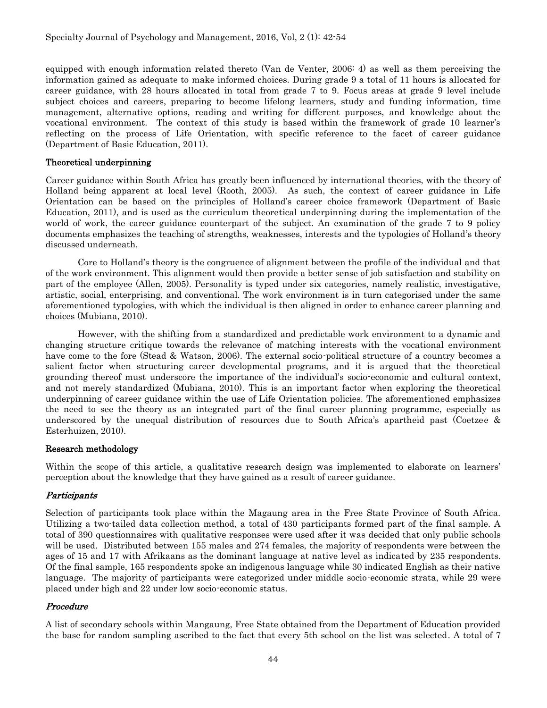equipped with enough information related thereto (Van de Venter, 2006: 4) as well as them perceiving the information gained as adequate to make informed choices. During grade 9 a total of 11 hours is allocated for career guidance, with 28 hours allocated in total from grade 7 to 9. Focus areas at grade 9 level include subject choices and careers, preparing to become lifelong learners, study and funding information, time management, alternative options, reading and writing for different purposes, and knowledge about the vocational environment. The context of this study is based within the framework of grade 10 learner's reflecting on the process of Life Orientation, with specific reference to the facet of career guidance (Department of Basic Education, 2011).

## Theoretical underpinning

Career guidance within South Africa has greatly been influenced by international theories, with the theory of Holland being apparent at local level (Rooth, 2005). As such, the context of career guidance in Life Orientation can be based on the principles of Holland's career choice framework (Department of Basic Education, 2011), and is used as the curriculum theoretical underpinning during the implementation of the world of work, the career guidance counterpart of the subject. An examination of the grade 7 to 9 policy documents emphasizes the teaching of strengths, weaknesses, interests and the typologies of Holland's theory discussed underneath.

Core to Holland's theory is the congruence of alignment between the profile of the individual and that of the work environment. This alignment would then provide a better sense of job satisfaction and stability on part of the employee (Allen, 2005). Personality is typed under six categories, namely realistic, investigative, artistic, social, enterprising, and conventional. The work environment is in turn categorised under the same aforementioned typologies, with which the individual is then aligned in order to enhance career planning and choices (Mubiana, 2010).

However, with the shifting from a standardized and predictable work environment to a dynamic and changing structure critique towards the relevance of matching interests with the vocational environment have come to the fore (Stead & Watson, 2006). The external socio-political structure of a country becomes a salient factor when structuring career developmental programs, and it is argued that the theoretical grounding thereof must underscore the importance of the individual's socio-economic and cultural context, and not merely standardized (Mubiana, 2010). This is an important factor when exploring the theoretical underpinning of career guidance within the use of Life Orientation policies. The aforementioned emphasizes the need to see the theory as an integrated part of the final career planning programme, especially as underscored by the unequal distribution of resources due to South Africa's apartheid past (Coetzee & Esterhuizen, 2010).

## Research methodology

Within the scope of this article, a qualitative research design was implemented to elaborate on learners' perception about the knowledge that they have gained as a result of career guidance.

## **Participants**

Selection of participants took place within the Magaung area in the Free State Province of South Africa. Utilizing a two-tailed data collection method, a total of 430 participants formed part of the final sample. A total of 390 questionnaires with qualitative responses were used after it was decided that only public schools will be used. Distributed between 155 males and 274 females, the majority of respondents were between the ages of 15 and 17 with Afrikaans as the dominant language at native level as indicated by 235 respondents. Of the final sample, 165 respondents spoke an indigenous language while 30 indicated English as their native language. The majority of participants were categorized under middle socio-economic strata, while 29 were placed under high and 22 under low socio-economic status.

## Procedure

A list of secondary schools within Mangaung, Free State obtained from the Department of Education provided the base for random sampling ascribed to the fact that every 5th school on the list was selected. A total of 7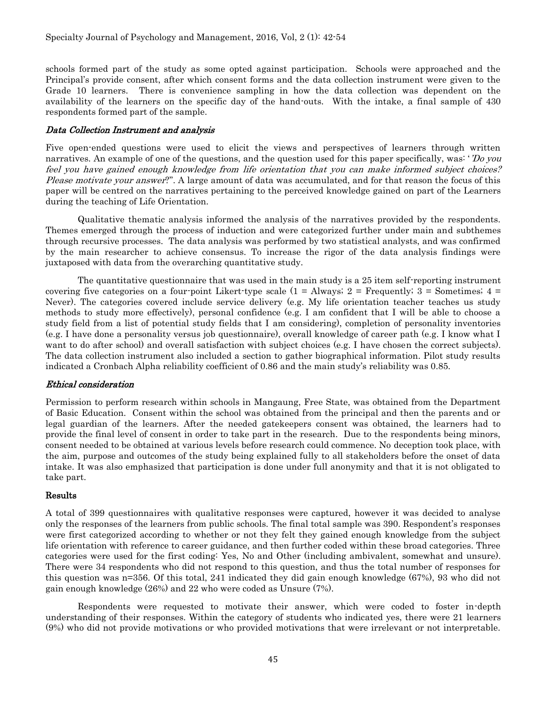schools formed part of the study as some opted against participation. Schools were approached and the Principal's provide consent, after which consent forms and the data collection instrument were given to the Grade 10 learners. There is convenience sampling in how the data collection was dependent on the availability of the learners on the specific day of the hand-outs. With the intake, a final sample of 430 respondents formed part of the sample.

#### Data Collection Instrument and analysis

Five open-ended questions were used to elicit the views and perspectives of learners through written narratives. An example of one of the questions, and the question used for this paper specifically, was: '*Do you* feel you have gained enough knowledge from life orientation that you can make informed subject choices? Please motivate your answer?". A large amount of data was accumulated, and for that reason the focus of this paper will be centred on the narratives pertaining to the perceived knowledge gained on part of the Learners during the teaching of Life Orientation.

Qualitative thematic analysis informed the analysis of the narratives provided by the respondents. Themes emerged through the process of induction and were categorized further under main and subthemes through recursive processes. The data analysis was performed by two statistical analysts, and was confirmed by the main researcher to achieve consensus. To increase the rigor of the data analysis findings were juxtaposed with data from the overarching quantitative study.

The quantitative questionnaire that was used in the main study is a 25 item self-reporting instrument covering five categories on a four-point Likert-type scale  $(1 = \text{Always}; 2 = \text{Frequently}; 3 = \text{Sometimes}; 4 = \text{Frequently}; 4 = \text{Frequently}; 5 = \text{Simpling}$ Never). The categories covered include service delivery (e.g. My life orientation teacher teaches us study methods to study more effectively), personal confidence (e.g. I am confident that I will be able to choose a study field from a list of potential study fields that I am considering), completion of personality inventories (e.g. I have done a personality versus job questionnaire), overall knowledge of career path (e.g. I know what I want to do after school) and overall satisfaction with subject choices (e.g. I have chosen the correct subjects). The data collection instrument also included a section to gather biographical information. Pilot study results indicated a Cronbach Alpha reliability coefficient of 0.86 and the main study's reliability was 0.85.

## Ethical consideration

Permission to perform research within schools in Mangaung, Free State, was obtained from the Department of Basic Education. Consent within the school was obtained from the principal and then the parents and or legal guardian of the learners. After the needed gatekeepers consent was obtained, the learners had to provide the final level of consent in order to take part in the research. Due to the respondents being minors, consent needed to be obtained at various levels before research could commence. No deception took place, with the aim, purpose and outcomes of the study being explained fully to all stakeholders before the onset of data intake. It was also emphasized that participation is done under full anonymity and that it is not obligated to take part.

## Results

A total of 399 questionnaires with qualitative responses were captured, however it was decided to analyse only the responses of the learners from public schools. The final total sample was 390. Respondent's responses were first categorized according to whether or not they felt they gained enough knowledge from the subject life orientation with reference to career guidance, and then further coded within these broad categories. Three categories were used for the first coding: Yes, No and Other (including ambivalent, somewhat and unsure). There were 34 respondents who did not respond to this question, and thus the total number of responses for this question was n=356. Of this total, 241 indicated they did gain enough knowledge (67%), 93 who did not gain enough knowledge (26%) and 22 who were coded as Unsure (7%).

Respondents were requested to motivate their answer, which were coded to foster in-depth understanding of their responses. Within the category of students who indicated yes, there were 21 learners (9%) who did not provide motivations or who provided motivations that were irrelevant or not interpretable.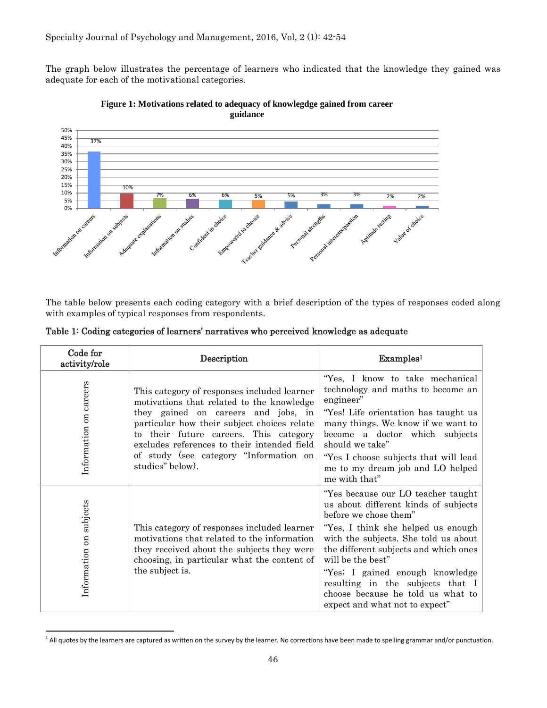The graph below illustrates the percentage of learners who indicated that the knowledge they gained was adequate for each of the motivational categories.



**Figure 1: Motivations related to adequacy of knowlegdge gained from career guidance**

The table below presents each coding category with a brief description of the types of responses coded along with examples of typical responses from respondents.

| Code for<br>activity/role | Description                                                                                                                                                                                                                                                                                                                           | Examples <sup>1</sup>                                                                                                                                                                                                                                                                                                                                                                         |
|---------------------------|---------------------------------------------------------------------------------------------------------------------------------------------------------------------------------------------------------------------------------------------------------------------------------------------------------------------------------------|-----------------------------------------------------------------------------------------------------------------------------------------------------------------------------------------------------------------------------------------------------------------------------------------------------------------------------------------------------------------------------------------------|
| Information on careers    | This category of responses included learner<br>motivations that related to the knowledge<br>they gained on careers and jobs, in<br>particular how their subject choices relate<br>to their future careers. This category<br>excludes references to their intended field<br>of study (see category "Information on<br>studies" below). | "Yes, I know to take mechanical<br>technology and maths to become an<br>engineer"<br>"Yes! Life orientation has taught us<br>many things. We know if we want to<br>become a doctor which subjects<br>should we take"<br>"Yes I choose subjects that will lead<br>me to my dream job and LO helped<br>me with that"                                                                            |
| Information on subjects   | This category of responses included learner<br>motivations that related to the information<br>they received about the subjects they were<br>choosing, in particular what the content of<br>the subject is.                                                                                                                            | "Yes because our LO teacher taught<br>us about different kinds of subjects<br>before we chose them"<br>"Yes, I think she helped us enough<br>with the subjects. She told us about<br>the different subjects and which ones<br>will be the best"<br>"Yes; I gained enough knowledge<br>resulting in the subjects that I<br>choose because he told us what to<br>expect and what not to expect" |

Table 1: Coding categories of learners' narratives who perceived knowledge as adequate

 $\overline{a}$ 

<sup>&</sup>lt;sup>1</sup> All quotes by the learners are captured as written on the survey by the learner. No corrections have been made to spelling grammar and/or punctuation.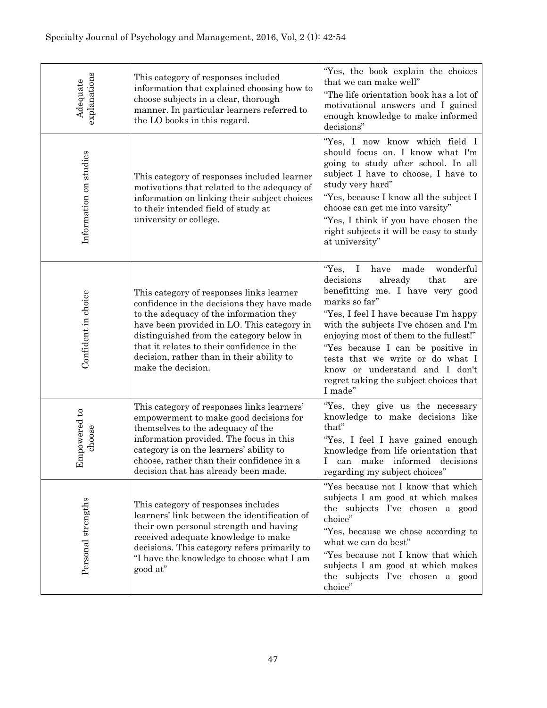| explanations<br>Adequate | This category of responses included<br>information that explained choosing how to<br>choose subjects in a clear, thorough<br>manner. In particular learners referred to<br>the LO books in this regard.                                                                                                                                      | "Yes, the book explain the choices<br>that we can make well"<br>"The life orientation book has a lot of<br>motivational answers and I gained<br>enough knowledge to make informed<br>decisions"                                                                                                                                                                                                                                        |
|--------------------------|----------------------------------------------------------------------------------------------------------------------------------------------------------------------------------------------------------------------------------------------------------------------------------------------------------------------------------------------|----------------------------------------------------------------------------------------------------------------------------------------------------------------------------------------------------------------------------------------------------------------------------------------------------------------------------------------------------------------------------------------------------------------------------------------|
| Information on studies   | This category of responses included learner<br>motivations that related to the adequacy of<br>information on linking their subject choices<br>to their intended field of study at<br>university or college.                                                                                                                                  | "Yes, I now know which field I<br>should focus on. I know what I'm<br>going to study after school. In all<br>subject I have to choose, I have to<br>study very hard"<br>"Yes, because I know all the subject I<br>choose can get me into varsity"<br>"Yes, I think if you have chosen the<br>right subjects it will be easy to study<br>at university"                                                                                 |
| Confident in choice      | This category of responses links learner<br>confidence in the decisions they have made<br>to the adequacy of the information they<br>have been provided in LO. This category in<br>distinguished from the category below in<br>that it relates to their confidence in the<br>decision, rather than in their ability to<br>make the decision. | "Yes,<br>wonderful<br>$\bf{I}$<br>have<br>made<br>decisions<br>already<br>that<br>are<br>benefitting me. I have very good<br>marks so far"<br>"Yes, I feel I have because I'm happy<br>with the subjects I've chosen and I'm<br>enjoying most of them to the fullest!"<br>"Yes because I can be positive in<br>tests that we write or do what I<br>know or understand and I don't<br>regret taking the subject choices that<br>I made" |
| Impowered to<br>choose   | This category of responses links learners'<br>empowerment to make good decisions for<br>themselves to the adequacy of the<br>information provided. The focus in this<br>category is on the learners' ability to<br>choose, rather than their confidence in a<br>decision that has already been made.                                         | "Yes, they give us the necessary<br>knowledge to make decisions like<br>that"<br>"Yes, I feel I have gained enough<br>knowledge from life orientation that<br>Ι<br>can make informed decisions<br>regarding my subject choices"                                                                                                                                                                                                        |
| Personal strengths       | This category of responses includes<br>learners' link between the identification of<br>their own personal strength and having<br>received adequate knowledge to make<br>decisions. This category refers primarily to<br>"I have the knowledge to choose what I am<br>good at"                                                                | "Yes because not I know that which<br>subjects I am good at which makes<br>the subjects I've chosen a good<br>choice"<br>"Yes, because we chose according to<br>what we can do best"<br>"Yes because not I know that which<br>subjects I am good at which makes<br>the subjects I've chosen a good<br>choice"                                                                                                                          |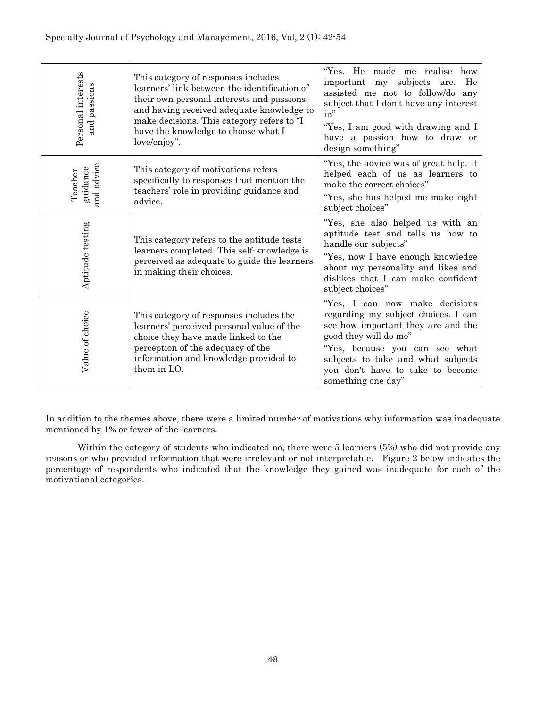| Personal interests<br>passions<br>and | This category of responses includes<br>learners' link between the identification of<br>their own personal interests and passions,<br>and having received adequate knowledge to<br>make decisions. This category refers to "I<br>have the knowledge to choose what I<br>love/enjoy". | "Yes. He made me realise<br>how<br>subjects<br>He<br>important my<br>are.<br>assisted me not to follow/do any<br>subject that I don't have any interest<br>in"<br>"Yes, I am good with drawing and I<br>have a passion how to draw or<br>design something"             |
|---------------------------------------|-------------------------------------------------------------------------------------------------------------------------------------------------------------------------------------------------------------------------------------------------------------------------------------|------------------------------------------------------------------------------------------------------------------------------------------------------------------------------------------------------------------------------------------------------------------------|
| and advice<br>guidance<br>Teacher     | This category of motivations refers<br>specifically to responses that mention the<br>teachers' role in providing guidance and<br>advice.                                                                                                                                            | "Yes, the advice was of great help. It<br>helped each of us as learners to<br>make the correct choices"<br>"Yes, she has helped me make right<br>subject choices"                                                                                                      |
| Aptitude testing                      | This category refers to the aptitude tests<br>learners completed. This self-knowledge is<br>perceived as adequate to guide the learners<br>in making their choices.                                                                                                                 | "Yes, she also helped us with an<br>aptitude test and tells us how to<br>handle our subjects"<br>"Yes, now I have enough knowledge<br>about my personality and likes and<br>dislikes that I can make confident<br>subject choices"                                     |
| Value of choice                       | This category of responses includes the<br>learners' perceived personal value of the<br>choice they have made linked to the<br>perception of the adequacy of the<br>information and knowledge provided to<br>them in LO.                                                            | "Yes, I can now make decisions<br>regarding my subject choices. I can<br>see how important they are and the<br>good they will do me"<br>"Yes, because you can see what<br>subjects to take and what subjects<br>you don't have to take to become<br>something one day" |

In addition to the themes above, there were a limited number of motivations why information was inadequate mentioned by 1% or fewer of the learners.

Within the category of students who indicated no, there were 5 learners (5%) who did not provide any reasons or who provided information that were irrelevant or not interpretable. Figure 2 below indicates the percentage of respondents who indicated that the knowledge they gained was inadequate for each of the motivational categories.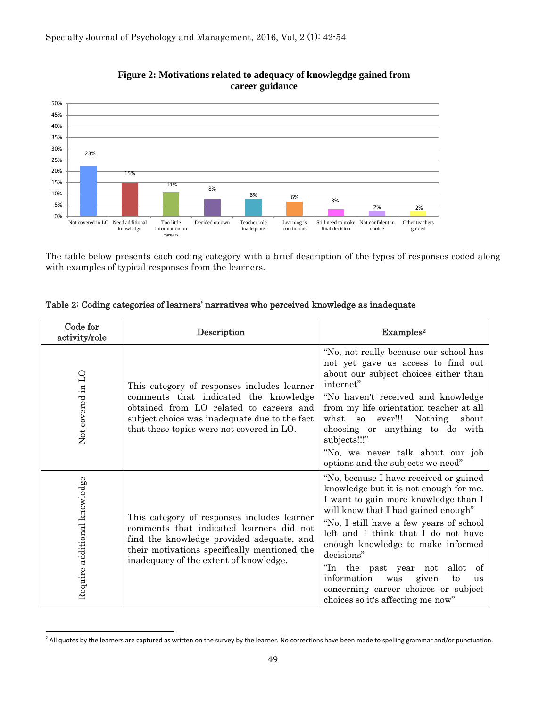

# **Figure 2: Motivations related to adequacy of knowlegdge gained from career guidance**

The table below presents each coding category with a brief description of the types of responses coded along with examples of typical responses from the learners.

| Code for<br>activity/role    | Description                                                                                                                                                                                                                    | Examples <sup>2</sup>                                                                                                                                                                                                                                                                                                                                                                                                                                                        |
|------------------------------|--------------------------------------------------------------------------------------------------------------------------------------------------------------------------------------------------------------------------------|------------------------------------------------------------------------------------------------------------------------------------------------------------------------------------------------------------------------------------------------------------------------------------------------------------------------------------------------------------------------------------------------------------------------------------------------------------------------------|
| Not covered in LO            | This category of responses includes learner<br>comments that indicated the knowledge<br>obtained from LO related to careers and<br>subject choice was inadequate due to the fact<br>that these topics were not covered in LO.  | "No, not really because our school has<br>not yet gave us access to find out<br>about our subject choices either than<br>internet"<br>"No haven't received and knowledge<br>from my life orientation teacher at all<br>ever!!!<br>Nothing<br>what<br>about<br>SO<br>choosing or anything to do with<br>subjects!!!"<br>"No, we never talk about our job<br>options and the subjects we need"                                                                                 |
| Require additional knowledge | This category of responses includes learner<br>comments that indicated learners did not<br>find the knowledge provided adequate, and<br>their motivations specifically mentioned the<br>inadequacy of the extent of knowledge. | "No, because I have received or gained<br>knowledge but it is not enough for me.<br>I want to gain more knowledge than I<br>will know that I had gained enough"<br>"No, I still have a few years of school"<br>left and I think that I do not have<br>enough knowledge to make informed<br>decisions"<br>"In the past year not<br>allot<br>of<br>information<br>was<br>given<br>to<br><b>us</b><br>concerning career choices or subject<br>choices so it's affecting me now" |

# Table 2: Coding categories of learners' narratives who perceived knowledge as inadequate

 $\overline{a}$ 

<sup>&</sup>lt;sup>2</sup> All quotes by the learners are captured as written on the survey by the learner. No corrections have been made to spelling grammar and/or punctuation.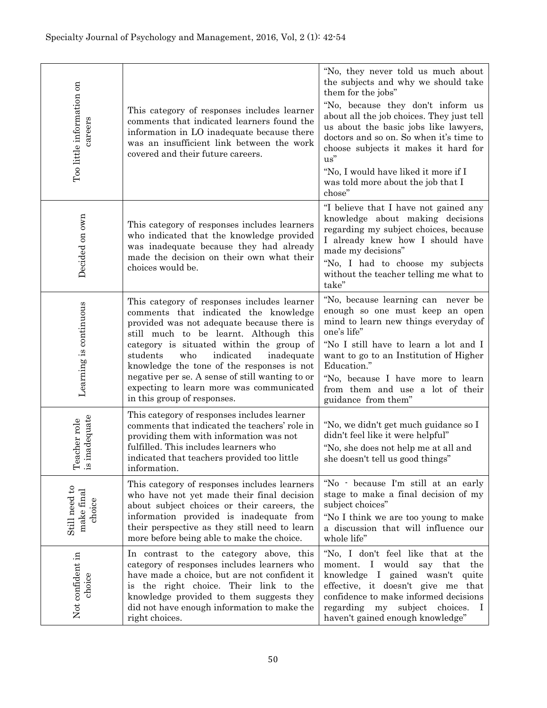| Too little information on<br>careers  | This category of responses includes learner<br>comments that indicated learners found the<br>information in LO inadequate because there<br>was an insufficient link between the work<br>covered and their future careers.                                                                                                                                                                                                                          | "No, they never told us much about<br>the subjects and why we should take<br>them for the jobs"<br>"No, because they don't inform us<br>about all the job choices. They just tell<br>us about the basic jobs like lawyers,<br>doctors and so on. So when it's time to<br>choose subjects it makes it hard for<br>us"<br>"No, I would have liked it more if I<br>was told more about the job that I<br>chose" |
|---------------------------------------|----------------------------------------------------------------------------------------------------------------------------------------------------------------------------------------------------------------------------------------------------------------------------------------------------------------------------------------------------------------------------------------------------------------------------------------------------|--------------------------------------------------------------------------------------------------------------------------------------------------------------------------------------------------------------------------------------------------------------------------------------------------------------------------------------------------------------------------------------------------------------|
| Decided on own                        | This category of responses includes learners<br>who indicated that the knowledge provided<br>was inadequate because they had already<br>made the decision on their own what their<br>choices would be.                                                                                                                                                                                                                                             | "I believe that I have not gained any<br>knowledge about making decisions<br>regarding my subject choices, because<br>I already knew how I should have<br>made my decisions"<br>"No, I had to choose my subjects<br>without the teacher telling me what to<br>take"                                                                                                                                          |
| Learning is continuous                | This category of responses includes learner<br>comments that indicated the knowledge<br>provided was not adequate because there is<br>still much to be learnt. Although this<br>category is situated within the group of<br>students<br>who<br>indicated<br>inadequate<br>knowledge the tone of the responses is not<br>negative per se. A sense of still wanting to or<br>expecting to learn more was communicated<br>in this group of responses. | "No, because learning can never be<br>enough so one must keep an open<br>mind to learn new things everyday of<br>one's life"<br>"No I still have to learn a lot and I<br>want to go to an Institution of Higher<br>Education."<br>"No, because I have more to learn<br>from them and use a lot of their<br>guidance from them"                                                                               |
| inadequate<br>eacher role<br>≅. A     | This category of responses includes learner<br>comments that indicated the teachers' role in<br>providing them with information was not<br>fulfilled. This includes learners who<br>indicated that teachers provided too little<br>information.                                                                                                                                                                                                    | "No, we didn't get much guidance so I<br>didn't feel like it were helpful"<br>"No, she does not help me at all and<br>she doesn't tell us good things"                                                                                                                                                                                                                                                       |
| Still need to<br>make final<br>choice | This category of responses includes learners<br>who have not yet made their final decision<br>about subject choices or their careers, the<br>information provided is inadequate from<br>their perspective as they still need to learn<br>more before being able to make the choice.                                                                                                                                                                | "No - because I'm still at an early<br>stage to make a final decision of my<br>subject choices"<br>"No I think we are too young to make<br>a discussion that will influence our<br>whole life"                                                                                                                                                                                                               |
| Not confident in<br>choice            | In contrast to the category above, this<br>category of responses includes learners who<br>have made a choice, but are not confident it<br>is the right choice. Their link to the<br>knowledge provided to them suggests they<br>did not have enough information to make the<br>right choices.                                                                                                                                                      | "No, I don't feel like that at the<br>would<br>moment. I<br>say that<br>the<br>knowledge I gained wasn't quite<br>effective, it doesn't give me that<br>confidence to make informed decisions<br>regarding<br>subject<br>choices.<br>my<br>$\perp$<br>haven't gained enough knowledge"                                                                                                                       |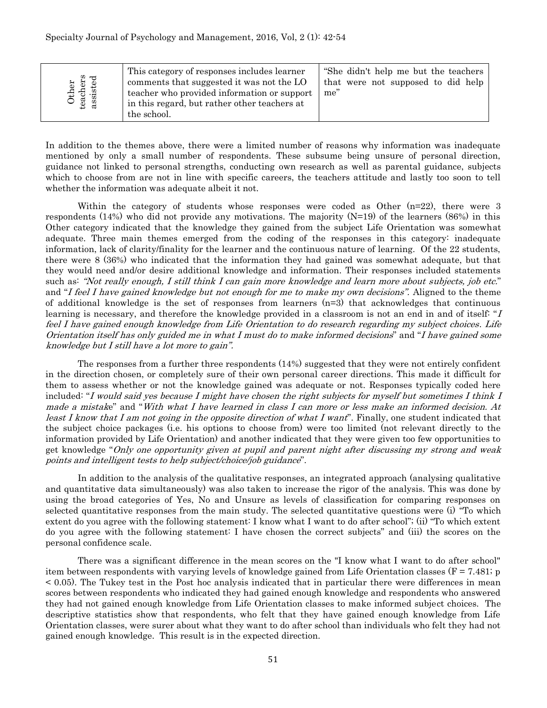| Other<br>teachers<br>assisted | This category of responses includes learner<br>comments that suggested it was not the LO<br>teacher who provided information or support<br>in this regard, but rather other teachers at<br>the school. | "She didn't help me but the teachers"<br>that were not supposed to did help<br>me" |
|-------------------------------|--------------------------------------------------------------------------------------------------------------------------------------------------------------------------------------------------------|------------------------------------------------------------------------------------|
|-------------------------------|--------------------------------------------------------------------------------------------------------------------------------------------------------------------------------------------------------|------------------------------------------------------------------------------------|

In addition to the themes above, there were a limited number of reasons why information was inadequate mentioned by only a small number of respondents. These subsume being unsure of personal direction, guidance not linked to personal strengths, conducting own research as well as parental guidance, subjects which to choose from are not in line with specific careers, the teachers attitude and lastly too soon to tell whether the information was adequate albeit it not.

Within the category of students whose responses were coded as Other  $(n=22)$ , there were 3 respondents (14%) who did not provide any motivations. The majority  $(N=19)$  of the learners (86%) in this Other category indicated that the knowledge they gained from the subject Life Orientation was somewhat adequate. Three main themes emerged from the coding of the responses in this category: inadequate information, lack of clarity/finality for the learner and the continuous nature of learning. Of the 22 students, there were 8 (36%) who indicated that the information they had gained was somewhat adequate, but that they would need and/or desire additional knowledge and information. Their responses included statements such as: "Not really enough, I still think I can gain more knowledge and learn more about subjects, job etc." and "I feel I have gained knowledge but not enough for me to make my own decisions". Aligned to the theme of additional knowledge is the set of responses from learners (n=3) that acknowledges that continuous learning is necessary, and therefore the knowledge provided in a classroom is not an end in and of itself: "I feel I have gained enough knowledge from Life Orientation to do research regarding my subject choices. Life Orientation itself has only guided me in what I must do to make informed decisions" and "I have gained some knowledge but I still have a lot more to gain".

The responses from a further three respondents (14%) suggested that they were not entirely confident in the direction chosen, or completely sure of their own personal career directions. This made it difficult for them to assess whether or not the knowledge gained was adequate or not. Responses typically coded here included: "I would said yes because I might have chosen the right subjects for myself but sometimes I think I made a mistake" and "With what I have learned in class I can more or less make an informed decision. At least I know that I am not going in the opposite direction of what I want". Finally, one student indicated that the subject choice packages (i.e. his options to choose from) were too limited (not relevant directly to the information provided by Life Orientation) and another indicated that they were given too few opportunities to get knowledge "Only one opportunity given at pupil and parent night after discussing my strong and weak points and intelligent tests to help subject/choice/job guidance".

In addition to the analysis of the qualitative responses, an integrated approach (analysing qualitative and quantitative data simultaneously) was also taken to increase the rigor of the analysis. This was done by using the broad categories of Yes, No and Unsure as levels of classification for comparing responses on selected quantitative responses from the main study. The selected quantitative questions were (i) "To which extent do you agree with the following statement: I know what I want to do after school"; (ii) "To which extent do you agree with the following statement: I have chosen the correct subjects" and (iii) the scores on the personal confidence scale.

There was a significant difference in the mean scores on the "I know what I want to do after school" item between respondents with varying levels of knowledge gained from Life Orientation classes  $(F = 7.481; p)$ < 0.05). The Tukey test in the Post hoc analysis indicated that in particular there were differences in mean scores between respondents who indicated they had gained enough knowledge and respondents who answered they had not gained enough knowledge from Life Orientation classes to make informed subject choices. The descriptive statistics show that respondents, who felt that they have gained enough knowledge from Life Orientation classes, were surer about what they want to do after school than individuals who felt they had not gained enough knowledge. This result is in the expected direction.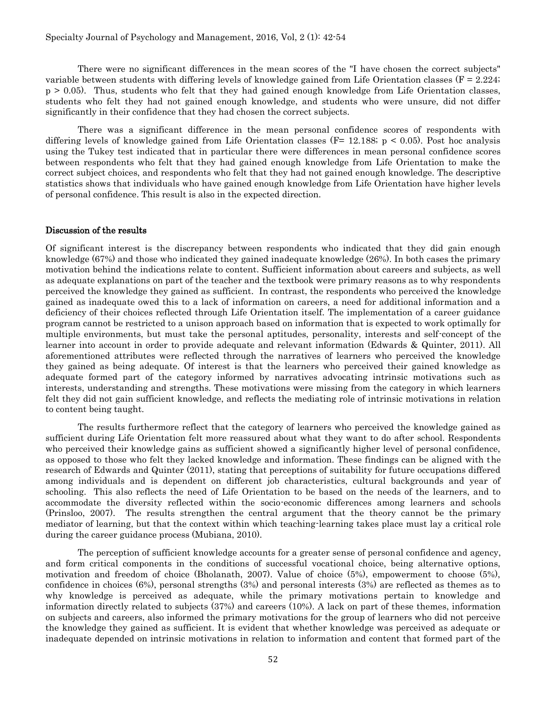There were no significant differences in the mean scores of the "I have chosen the correct subjects" variable between students with differing levels of knowledge gained from Life Orientation classes (F = 2.224; p > 0.05). Thus, students who felt that they had gained enough knowledge from Life Orientation classes, students who felt they had not gained enough knowledge, and students who were unsure, did not differ significantly in their confidence that they had chosen the correct subjects.

There was a significant difference in the mean personal confidence scores of respondents with differing levels of knowledge gained from Life Orientation classes ( $F = 12.188$ ;  $p < 0.05$ ). Post hoc analysis using the Tukey test indicated that in particular there were differences in mean personal confidence scores between respondents who felt that they had gained enough knowledge from Life Orientation to make the correct subject choices, and respondents who felt that they had not gained enough knowledge. The descriptive statistics shows that individuals who have gained enough knowledge from Life Orientation have higher levels of personal confidence. This result is also in the expected direction.

#### Discussion of the results

Of significant interest is the discrepancy between respondents who indicated that they did gain enough knowledge (67%) and those who indicated they gained inadequate knowledge (26%). In both cases the primary motivation behind the indications relate to content. Sufficient information about careers and subjects, as well as adequate explanations on part of the teacher and the textbook were primary reasons as to why respondents perceived the knowledge they gained as sufficient. In contrast, the respondents who perceived the knowledge gained as inadequate owed this to a lack of information on careers, a need for additional information and a deficiency of their choices reflected through Life Orientation itself. The implementation of a career guidance program cannot be restricted to a unison approach based on information that is expected to work optimally for multiple environments, but must take the personal aptitudes, personality, interests and self-concept of the learner into account in order to provide adequate and relevant information (Edwards & Quinter, 2011). All aforementioned attributes were reflected through the narratives of learners who perceived the knowledge they gained as being adequate. Of interest is that the learners who perceived their gained knowledge as adequate formed part of the category informed by narratives advocating intrinsic motivations such as interests, understanding and strengths. These motivations were missing from the category in which learners felt they did not gain sufficient knowledge, and reflects the mediating role of intrinsic motivations in relation to content being taught.

The results furthermore reflect that the category of learners who perceived the knowledge gained as sufficient during Life Orientation felt more reassured about what they want to do after school. Respondents who perceived their knowledge gains as sufficient showed a significantly higher level of personal confidence, as opposed to those who felt they lacked knowledge and information. These findings can be aligned with the research of Edwards and Quinter (2011), stating that perceptions of suitability for future occupations differed among individuals and is dependent on different job characteristics, cultural backgrounds and year of schooling. This also reflects the need of Life Orientation to be based on the needs of the learners, and to accommodate the diversity reflected within the socio-economic differences among learners and schools (Prinsloo, 2007). The results strengthen the central argument that the theory cannot be the primary mediator of learning, but that the context within which teaching-learning takes place must lay a critical role during the career guidance process (Mubiana, 2010).

The perception of sufficient knowledge accounts for a greater sense of personal confidence and agency, and form critical components in the conditions of successful vocational choice, being alternative options, motivation and freedom of choice (Bholanath, 2007). Value of choice (5%), empowerment to choose (5%), confidence in choices (6%), personal strengths (3%) and personal interests (3%) are reflected as themes as to why knowledge is perceived as adequate, while the primary motivations pertain to knowledge and information directly related to subjects (37%) and careers (10%). A lack on part of these themes, information on subjects and careers, also informed the primary motivations for the group of learners who did not perceive the knowledge they gained as sufficient. It is evident that whether knowledge was perceived as adequate or inadequate depended on intrinsic motivations in relation to information and content that formed part of the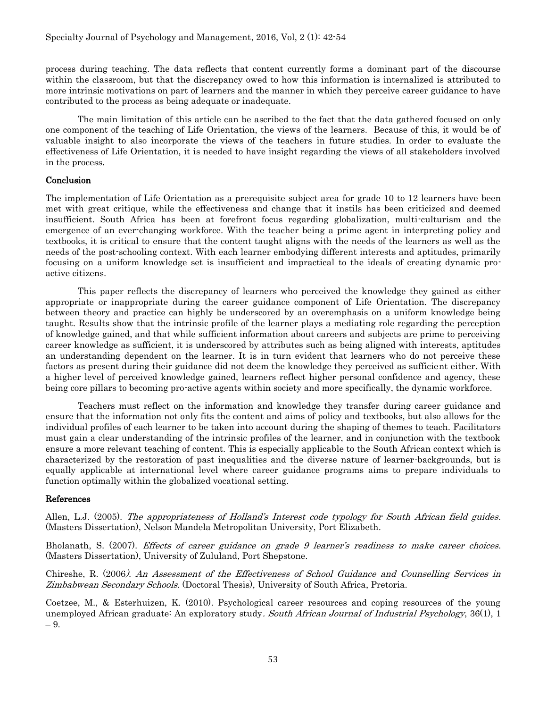process during teaching. The data reflects that content currently forms a dominant part of the discourse within the classroom, but that the discrepancy owed to how this information is internalized is attributed to more intrinsic motivations on part of learners and the manner in which they perceive career guidance to have contributed to the process as being adequate or inadequate.

The main limitation of this article can be ascribed to the fact that the data gathered focused on only one component of the teaching of Life Orientation, the views of the learners. Because of this, it would be of valuable insight to also incorporate the views of the teachers in future studies. In order to evaluate the effectiveness of Life Orientation, it is needed to have insight regarding the views of all stakeholders involved in the process.

## **Conclusion**

The implementation of Life Orientation as a prerequisite subject area for grade 10 to 12 learners have been met with great critique, while the effectiveness and change that it instils has been criticized and deemed insufficient. South Africa has been at forefront focus regarding globalization, multi-culturism and the emergence of an ever-changing workforce. With the teacher being a prime agent in interpreting policy and textbooks, it is critical to ensure that the content taught aligns with the needs of the learners as well as the needs of the post-schooling context. With each learner embodying different interests and aptitudes, primarily focusing on a uniform knowledge set is insufficient and impractical to the ideals of creating dynamic proactive citizens.

This paper reflects the discrepancy of learners who perceived the knowledge they gained as either appropriate or inappropriate during the career guidance component of Life Orientation. The discrepancy between theory and practice can highly be underscored by an overemphasis on a uniform knowledge being taught. Results show that the intrinsic profile of the learner plays a mediating role regarding the perception of knowledge gained, and that while sufficient information about careers and subjects are prime to perceiving career knowledge as sufficient, it is underscored by attributes such as being aligned with interests, aptitudes an understanding dependent on the learner. It is in turn evident that learners who do not perceive these factors as present during their guidance did not deem the knowledge they perceived as sufficient either. With a higher level of perceived knowledge gained, learners reflect higher personal confidence and agency, these being core pillars to becoming pro-active agents within society and more specifically, the dynamic workforce.

Teachers must reflect on the information and knowledge they transfer during career guidance and ensure that the information not only fits the content and aims of policy and textbooks, but also allows for the individual profiles of each learner to be taken into account during the shaping of themes to teach. Facilitators must gain a clear understanding of the intrinsic profiles of the learner, and in conjunction with the textbook ensure a more relevant teaching of content. This is especially applicable to the South African context which is characterized by the restoration of past inequalities and the diverse nature of learner-backgrounds, but is equally applicable at international level where career guidance programs aims to prepare individuals to function optimally within the globalized vocational setting.

## References

Allen, L.J. (2005). The appropriateness of Holland's Interest code typology for South African field guides. (Masters Dissertation), Nelson Mandela Metropolitan University, Port Elizabeth.

Bholanath, S. (2007). Effects of career guidance on grade 9 learner's readiness to make career choices. (Masters Dissertation), University of Zululand, Port Shepstone.

Chireshe, R. (2006). An Assessment of the Effectiveness of School Guidance and Counselling Services in Zimbabwean Secondary Schools. (Doctoral Thesis), University of South Africa, Pretoria.

Coetzee, M., & Esterhuizen, K. (2010). Psychological career resources and coping resources of the young unemployed African graduate: An exploratory study. South African Journal of Industrial Psychology, 36(1), 1 – 9.